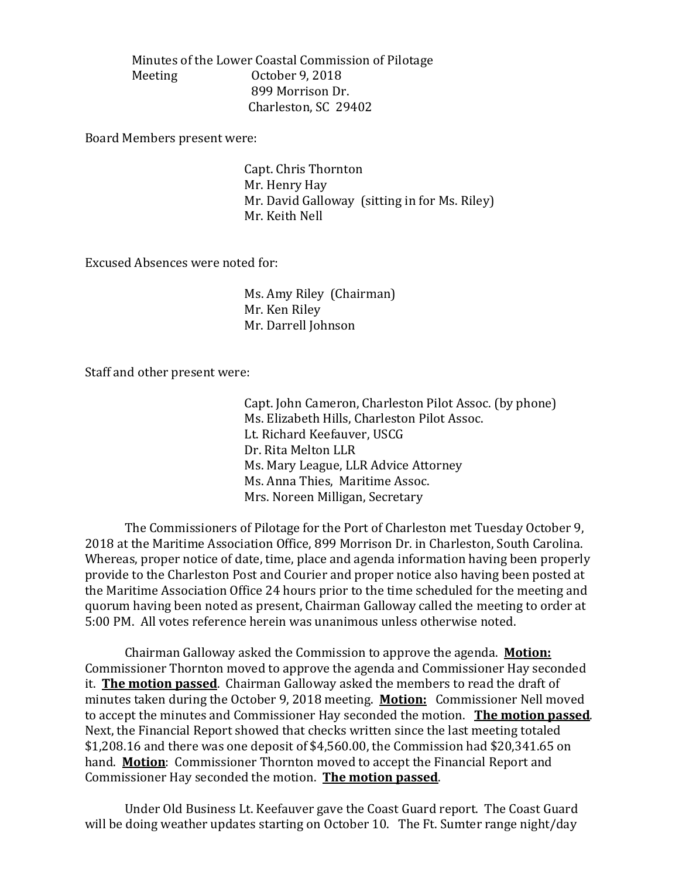Minutes of the Lower Coastal Commission of Pilotage October 9, 2018 899 Morrison Dr. Charleston, SC 29402

Board Members present were:

Capt. Chris Thornton Mr. Henry Hay Mr. David Galloway (sitting in for Ms. Riley) Mr. Keith Nell

Excused Absences were noted for:

Ms. Amy Riley (Chairman) Mr. Ken Riley Mr. Darrell Johnson

Staff and other present were:

Capt. John Cameron, Charleston Pilot Assoc. (by phone) Ms. Elizabeth Hills, Charleston Pilot Assoc. Lt. Richard Keefauver, USCG Dr. Rita Melton LLR Ms. Mary League, LLR Advice Attorney Ms. Anna Thies, Maritime Assoc. Mrs. Noreen Milligan, Secretary

The Commissioners of Pilotage for the Port of Charleston met Tuesday October 9, 2018 at the Maritime Association Office, 899 Morrison Dr. in Charleston, South Carolina. Whereas, proper notice of date, time, place and agenda information having been properly provide to the Charleston Post and Courier and proper notice also having been posted at the Maritime Association Office 24 hours prior to the time scheduled for the meeting and quorum having been noted as present, Chairman Galloway called the meeting to order at 5:00 PM. All votes reference herein was unanimous unless otherwise noted.

Chairman Galloway asked the Commission to approve the agenda. **Motion:** Commissioner Thornton moved to approve the agenda and Commissioner Hay seconded it. **The motion passed**. Chairman Galloway asked the members to read the draft of minutes taken during the October 9, 2018 meeting. **Motion:** Commissioner Nell moved to accept the minutes and Commissioner Hay seconded the motion. **The motion passed**. Next, the Financial Report showed that checks written since the last meeting totaled \$1,208.16 and there was one deposit of \$4,560.00, the Commission had \$20,341.65 on hand. **Motion**: Commissioner Thornton moved to accept the Financial Report and Commissioner Hay seconded the motion. **The motion passed**.

Under Old Business Lt. Keefauver gave the Coast Guard report. The Coast Guard will be doing weather updates starting on October 10. The Ft. Sumter range night/day